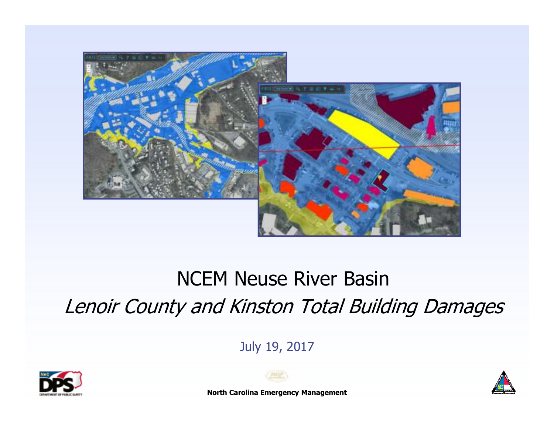

# NCEM Neuse River BasinLenoir County and Kinston Total Building Damages

July 19, 2017



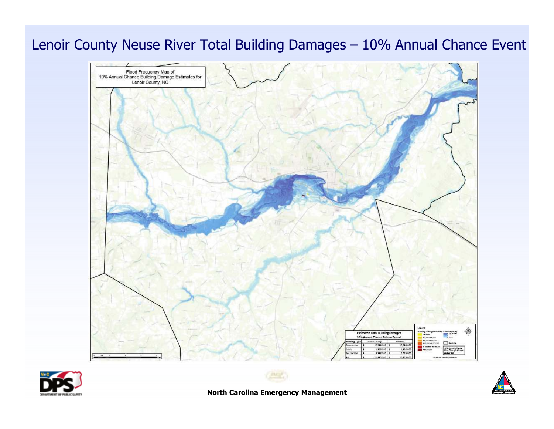### Lenoir County Neuse River Total Building Damages – 10% Annual Chance Event







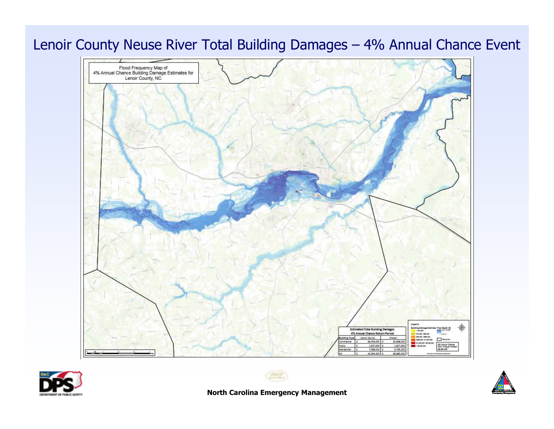





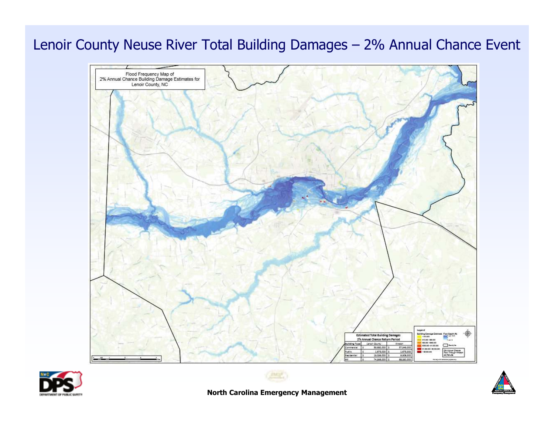#### Lenoir County Neuse River Total Building Damages – 2% Annual Chance Event







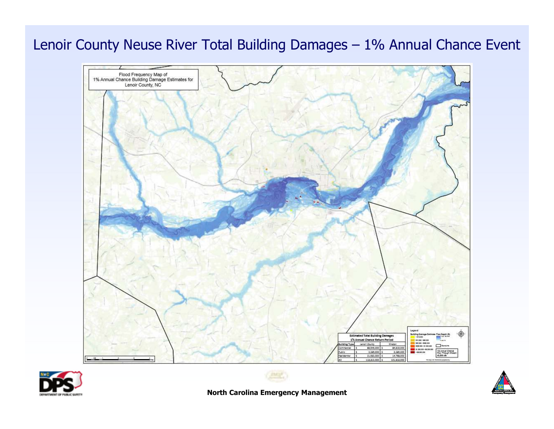#### Lenoir County Neuse River Total Building Damages – 1% Annual Chance Event







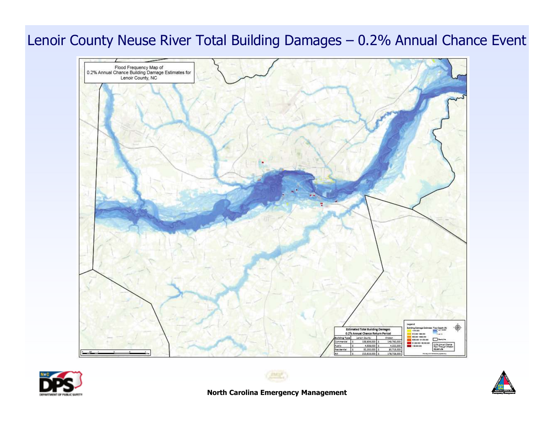### Lenoir County Neuse River Total Building Damages – 0.2% Annual Chance Event







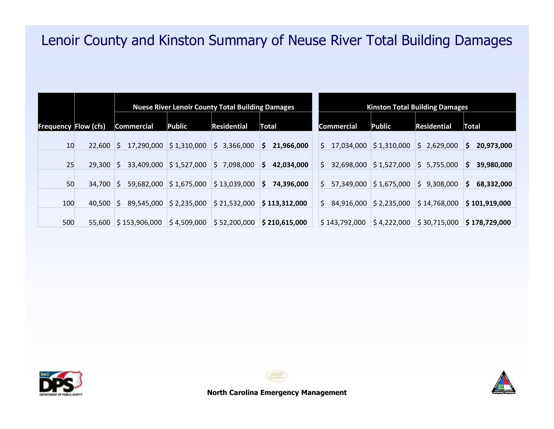## Lenoir County and Kinston Summary of Neuse River Total Building Damages

|     |                      | <b>Nuese River Lenoir County Total Building Damages</b> |             |                    |                  | <b>Kinston Total Building Damages</b> |             |                    |                  |
|-----|----------------------|---------------------------------------------------------|-------------|--------------------|------------------|---------------------------------------|-------------|--------------------|------------------|
|     | Frequency Flow (cfs) | Commercial                                              | Public      | <b>Residential</b> | Total            | <b>Commercial</b>                     | Public      | <b>Residential</b> | Total            |
| 10  | 22,600               | 17,290,000                                              | \$1,310,000 | \$3,366,000        | 21,966,000<br>S. | 17,034,000<br>S.                      | \$1,310,000 | \$2,629,000        | 20,973,000<br>S. |
| 25  | 29,300               | 33,409,000                                              | \$1,527,000 | \$7,098,000        | 42,034,000<br>S  | 32,698,000<br>S                       | \$1,527,000 | \$5,755,000        | 39,980,000<br>S. |
| 50  | 34,700               | 59,682,000                                              | \$1,675,000 | \$13,039,000       | 74,396,000<br>S  | 57,349,000                            | \$1,675,000 | 9,308,000<br>S.    | 68,332,000<br>S. |
| 100 | 40.500               | 89,545,000<br>S.                                        | \$2,235,000 | \$21,532,000       | \$113,312,000    | 84,916,000<br>S.                      | \$2,235,000 | \$14,768,000       | \$101,919,000    |
| 500 | 55,600               | \$153,906,000                                           | \$4,509,000 | \$52,200,000       | \$210,615,000    | \$143,792,000                         | \$4,222,000 | \$30,715,000       | \$178,729,000    |





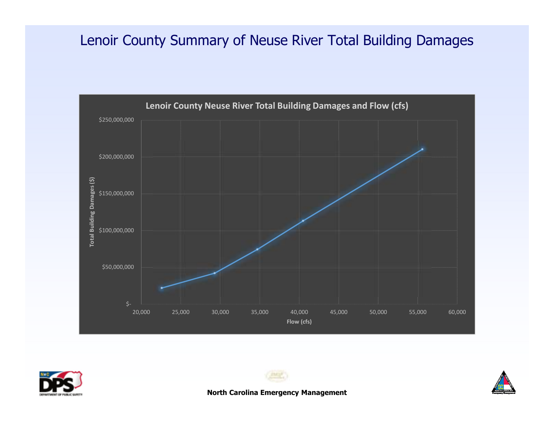## Lenoir County Summary of Neuse River Total Building Damages